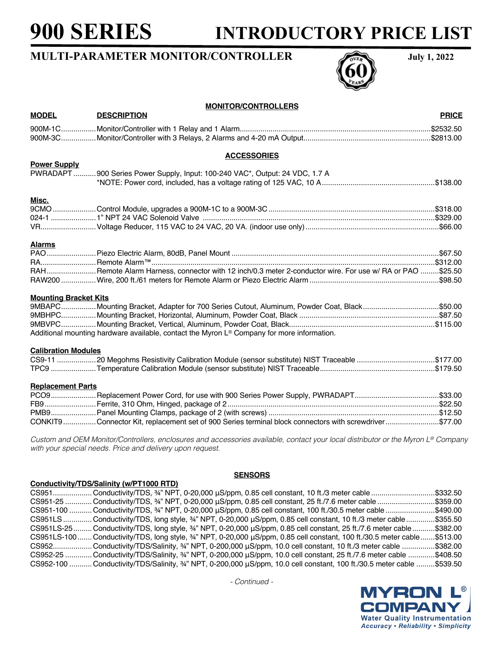# **900 SERIES INTRODUCTORY PRICE LIST**

## **MULTI-PARAMETER MONITOR/CONTROLLER** July 1, 2022



| <b>MONITOR/CONTROLLERS</b>   |                                                                                                                                  |              |  |
|------------------------------|----------------------------------------------------------------------------------------------------------------------------------|--------------|--|
| <b>MODEL</b>                 | <b>DESCRIPTION</b>                                                                                                               | <b>PRICE</b> |  |
|                              |                                                                                                                                  |              |  |
|                              |                                                                                                                                  |              |  |
|                              | <b>ACCESSORIES</b>                                                                                                               |              |  |
| <b>Power Supply</b>          |                                                                                                                                  |              |  |
|                              | PWRADAPT 900 Series Power Supply, Input: 100-240 VAC*, Output: 24 VDC, 1.7 A                                                     |              |  |
|                              |                                                                                                                                  |              |  |
| <u>Misc.</u>                 |                                                                                                                                  |              |  |
|                              |                                                                                                                                  |              |  |
|                              |                                                                                                                                  |              |  |
|                              |                                                                                                                                  |              |  |
| <b>Alarms</b>                |                                                                                                                                  |              |  |
|                              |                                                                                                                                  |              |  |
|                              |                                                                                                                                  |              |  |
|                              | RAHRemote Alarm Harness, connector with 12 inch/0.3 meter 2-conductor wire. For use w/ RA or PAO \$25.50                         |              |  |
|                              |                                                                                                                                  |              |  |
| <b>Mounting Bracket Kits</b> |                                                                                                                                  |              |  |
|                              | 9MBAPCMounting Bracket, Adapter for 700 Series Cutout, Aluminum, Powder Coat, Black\$50.00                                       |              |  |
|                              |                                                                                                                                  |              |  |
|                              |                                                                                                                                  |              |  |
|                              | Additional mounting hardware available, contact the Myron L® Company for more information.                                       |              |  |
| <b>Calibration Modules</b>   |                                                                                                                                  |              |  |
|                              | CS9-11 20 Megohms Resistivity Calibration Module (sensor substitute) NIST Traceable \$177.00                                     |              |  |
|                              |                                                                                                                                  |              |  |
| <b>Replacement Parts</b>     |                                                                                                                                  |              |  |
|                              |                                                                                                                                  |              |  |
|                              |                                                                                                                                  |              |  |
|                              |                                                                                                                                  |              |  |
|                              | CONKIT9Connector Kit, replacement set of 900 Series terminal block connectors with screwdriver\$77.00                            |              |  |
|                              | Custom and OEM Monitor/Controllers, enclosures and accessories available, contact your local distributor or the Myron L® Company |              |  |
|                              | with your special needs. Price and delivery upon request.                                                                        |              |  |

#### **Conductivity/TDS/Salinity (w/PT1000 RTD)**

### **SENSORS**

CS951................... Conductivity/TDS, ¾" NPT, 0-20,000 μS/ppm, 0.85 cell constant, 10 ft./3 meter cable ...............................\$332.50 CS951-25 ............. Conductivity/TDS, ¾" NPT, 0-20,000 μS/ppm, 0.85 cell constant, 25 ft./7.6 meter cable ............................\$359.00 CS951-100 ........... Conductivity/TDS, ¾" NPT, 0-20,000 μS/ppm, 0.85 cell constant, 100 ft./30.5 meter cable ........................\$490.00 CS951LS.............. Conductivity/TDS, long style, ¾" NPT, 0-20,000 μS/ppm, 0.85 cell constant, 10 ft./3 meter cable..............\$355.50 CS951LS-25......... Conductivity/TDS, long style, ¾" NPT, 0-20,000 μS/ppm, 0.85 cell constant, 25 ft./7.6 meter cable...........\$382.00 CS951LS-100....... Conductivity/TDS, long style, ¾" NPT, 0-20,000 μS/ppm, 0.85 cell constant, 100 ft./30.5 meter cable.......\$513.00 CS952................... Conductivity/TDS/Salinity, ¾" NPT, 0-200,000 μS/ppm, 10.0 cell constant, 10 ft./3 meter cable ................\$382.00 CS952-25 ............. Conductivity/TDS/Salinity, ¾" NPT, 0-200,000 μS/ppm, 10.0 cell constant, 25 ft./7.6 meter cable .............\$408.50 CS952-100 ........... Conductivity/TDS/Salinity, ¾" NPT, 0-200,000 μS/ppm, 10.0 cell constant, 100 ft./30.5 meter cable .........\$539.50